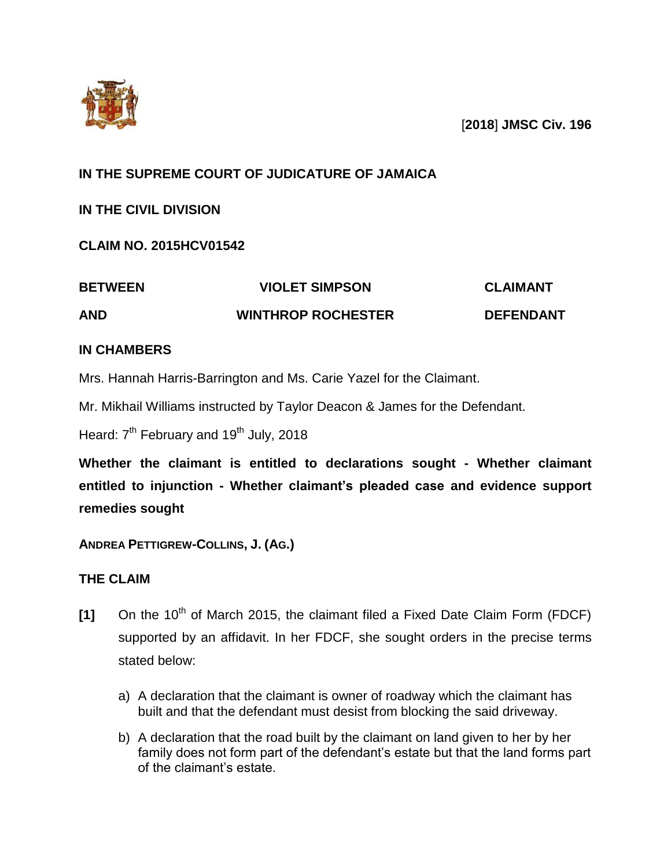

[**2018**] **JMSC Civ. 196**

# **IN THE SUPREME COURT OF JUDICATURE OF JAMAICA**

**IN THE CIVIL DIVISION**

**CLAIM NO. 2015HCV01542**

| <b>BETWEEN</b> | <b>VIOLET SIMPSON</b>     | <b>CLAIMANT</b>  |
|----------------|---------------------------|------------------|
| <b>AND</b>     | <b>WINTHROP ROCHESTER</b> | <b>DEFENDANT</b> |

# **IN CHAMBERS**

Mrs. Hannah Harris-Barrington and Ms. Carie Yazel for the Claimant.

Mr. Mikhail Williams instructed by Taylor Deacon & James for the Defendant.

Heard: 7<sup>th</sup> February and 19<sup>th</sup> July, 2018

**Whether the claimant is entitled to declarations sought - Whether claimant entitled to injunction - Whether claimant's pleaded case and evidence support remedies sought**

**ANDREA PETTIGREW-COLLINS, J. (AG.)**

# **THE CLAIM**

- **[1]** On the 10<sup>th</sup> of March 2015, the claimant filed a Fixed Date Claim Form (FDCF) supported by an affidavit. In her FDCF, she sought orders in the precise terms stated below:
	- a) A declaration that the claimant is owner of roadway which the claimant has built and that the defendant must desist from blocking the said driveway.
	- b) A declaration that the road built by the claimant on land given to her by her family does not form part of the defendant's estate but that the land forms part of the claimant's estate.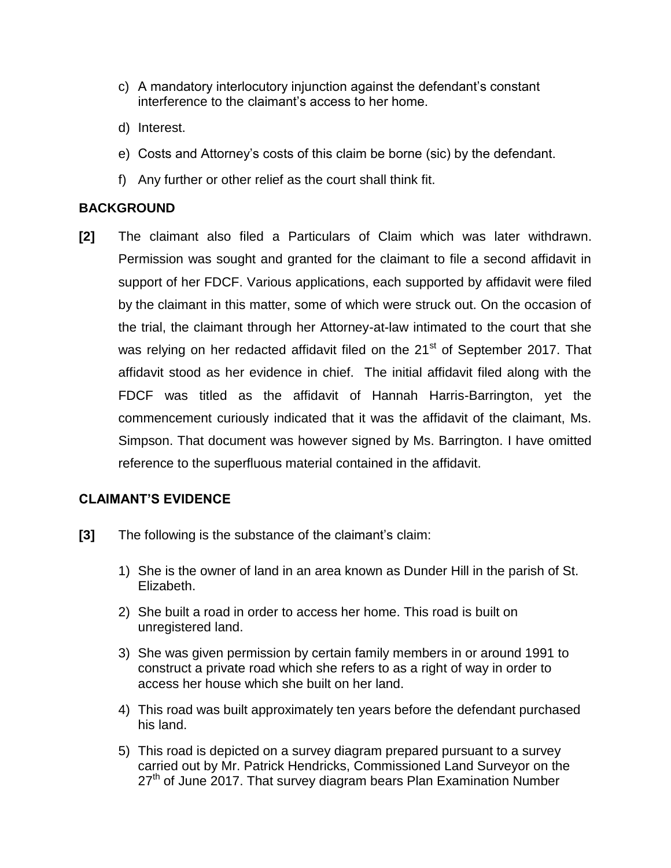- c) A mandatory interlocutory injunction against the defendant's constant interference to the claimant's access to her home.
- d) Interest.
- e) Costs and Attorney's costs of this claim be borne (sic) by the defendant.
- f) Any further or other relief as the court shall think fit.

## **BACKGROUND**

**[2]** The claimant also filed a Particulars of Claim which was later withdrawn. Permission was sought and granted for the claimant to file a second affidavit in support of her FDCF. Various applications, each supported by affidavit were filed by the claimant in this matter, some of which were struck out. On the occasion of the trial, the claimant through her Attorney-at-law intimated to the court that she was relying on her redacted affidavit filed on the 21<sup>st</sup> of September 2017. That affidavit stood as her evidence in chief. The initial affidavit filed along with the FDCF was titled as the affidavit of Hannah Harris-Barrington, yet the commencement curiously indicated that it was the affidavit of the claimant, Ms. Simpson. That document was however signed by Ms. Barrington. I have omitted reference to the superfluous material contained in the affidavit.

## **CLAIMANT'S EVIDENCE**

- **[3]** The following is the substance of the claimant's claim:
	- 1) She is the owner of land in an area known as Dunder Hill in the parish of St. Elizabeth.
	- 2) She built a road in order to access her home. This road is built on unregistered land.
	- 3) She was given permission by certain family members in or around 1991 to construct a private road which she refers to as a right of way in order to access her house which she built on her land.
	- 4) This road was built approximately ten years before the defendant purchased his land.
	- 5) This road is depicted on a survey diagram prepared pursuant to a survey carried out by Mr. Patrick Hendricks, Commissioned Land Surveyor on the  $27<sup>th</sup>$  of June 2017. That survey diagram bears Plan Examination Number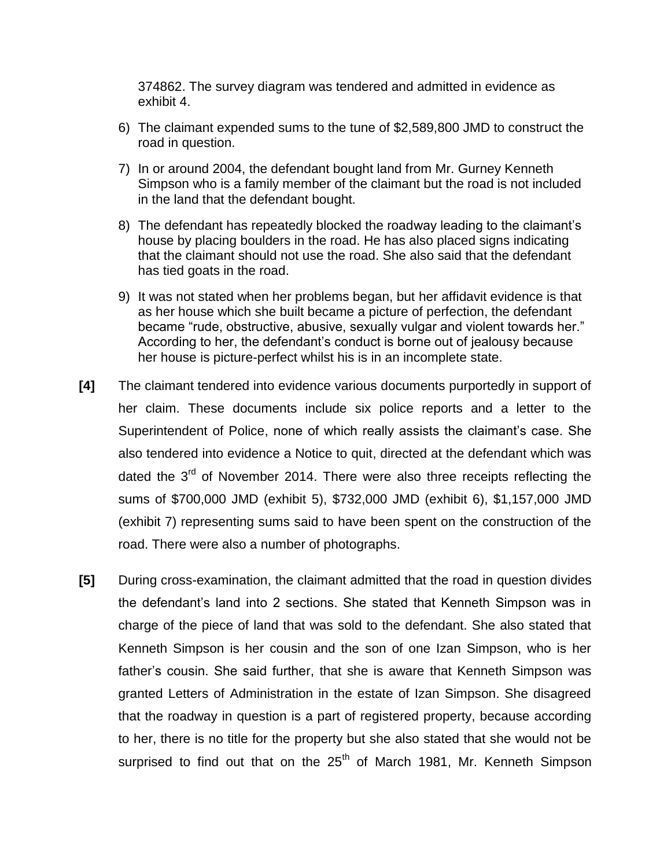374862. The survey diagram was tendered and admitted in evidence as exhibit 4.

- 6) The claimant expended sums to the tune of \$2,589,800 JMD to construct the road in question.
- 7) In or around 2004, the defendant bought land from Mr. Gurney Kenneth Simpson who is a family member of the claimant but the road is not included in the land that the defendant bought.
- 8) The defendant has repeatedly blocked the roadway leading to the claimant's house by placing boulders in the road. He has also placed signs indicating that the claimant should not use the road. She also said that the defendant has tied goats in the road.
- 9) It was not stated when her problems began, but her affidavit evidence is that as her house which she built became a picture of perfection, the defendant became "rude, obstructive, abusive, sexually vulgar and violent towards her." According to her, the defendant's conduct is borne out of jealousy because her house is picture-perfect whilst his is in an incomplete state.
- **[4]** The claimant tendered into evidence various documents purportedly in support of her claim. These documents include six police reports and a letter to the Superintendent of Police, none of which really assists the claimant's case. She also tendered into evidence a Notice to quit, directed at the defendant which was dated the  $3<sup>rd</sup>$  of November 2014. There were also three receipts reflecting the sums of \$700,000 JMD (exhibit 5), \$732,000 JMD (exhibit 6), \$1,157,000 JMD (exhibit 7) representing sums said to have been spent on the construction of the road. There were also a number of photographs.
- **[5]** During cross-examination, the claimant admitted that the road in question divides the defendant's land into 2 sections. She stated that Kenneth Simpson was in charge of the piece of land that was sold to the defendant. She also stated that Kenneth Simpson is her cousin and the son of one Izan Simpson, who is her father's cousin. She said further, that she is aware that Kenneth Simpson was granted Letters of Administration in the estate of Izan Simpson. She disagreed that the roadway in question is a part of registered property, because according to her, there is no title for the property but she also stated that she would not be surprised to find out that on the  $25<sup>th</sup>$  of March 1981, Mr. Kenneth Simpson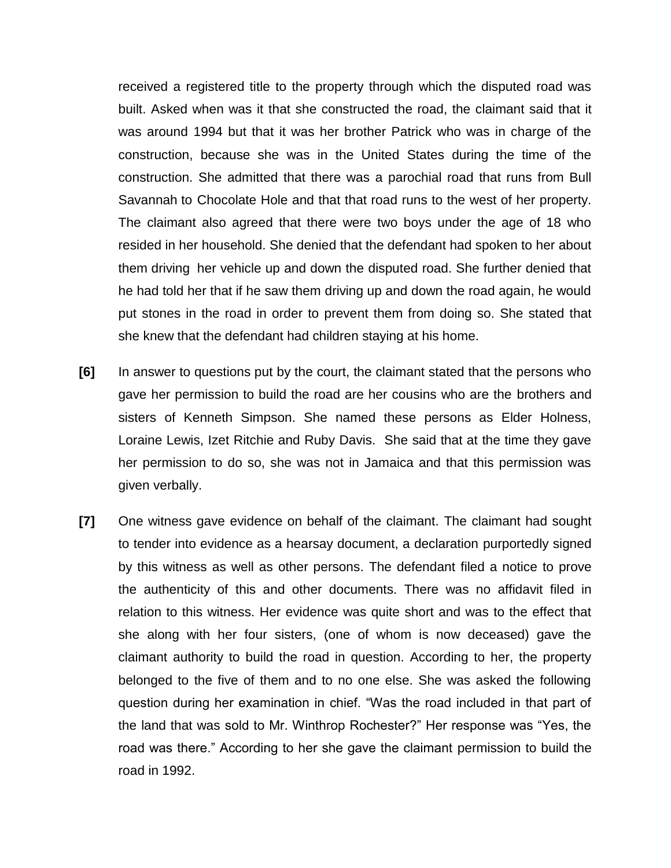received a registered title to the property through which the disputed road was built. Asked when was it that she constructed the road, the claimant said that it was around 1994 but that it was her brother Patrick who was in charge of the construction, because she was in the United States during the time of the construction. She admitted that there was a parochial road that runs from Bull Savannah to Chocolate Hole and that that road runs to the west of her property. The claimant also agreed that there were two boys under the age of 18 who resided in her household. She denied that the defendant had spoken to her about them driving her vehicle up and down the disputed road. She further denied that he had told her that if he saw them driving up and down the road again, he would put stones in the road in order to prevent them from doing so. She stated that she knew that the defendant had children staying at his home.

- **[6]** In answer to questions put by the court, the claimant stated that the persons who gave her permission to build the road are her cousins who are the brothers and sisters of Kenneth Simpson. She named these persons as Elder Holness, Loraine Lewis, Izet Ritchie and Ruby Davis. She said that at the time they gave her permission to do so, she was not in Jamaica and that this permission was given verbally.
- **[7]** One witness gave evidence on behalf of the claimant. The claimant had sought to tender into evidence as a hearsay document, a declaration purportedly signed by this witness as well as other persons. The defendant filed a notice to prove the authenticity of this and other documents. There was no affidavit filed in relation to this witness. Her evidence was quite short and was to the effect that she along with her four sisters, (one of whom is now deceased) gave the claimant authority to build the road in question. According to her, the property belonged to the five of them and to no one else. She was asked the following question during her examination in chief. "Was the road included in that part of the land that was sold to Mr. Winthrop Rochester?" Her response was "Yes, the road was there." According to her she gave the claimant permission to build the road in 1992.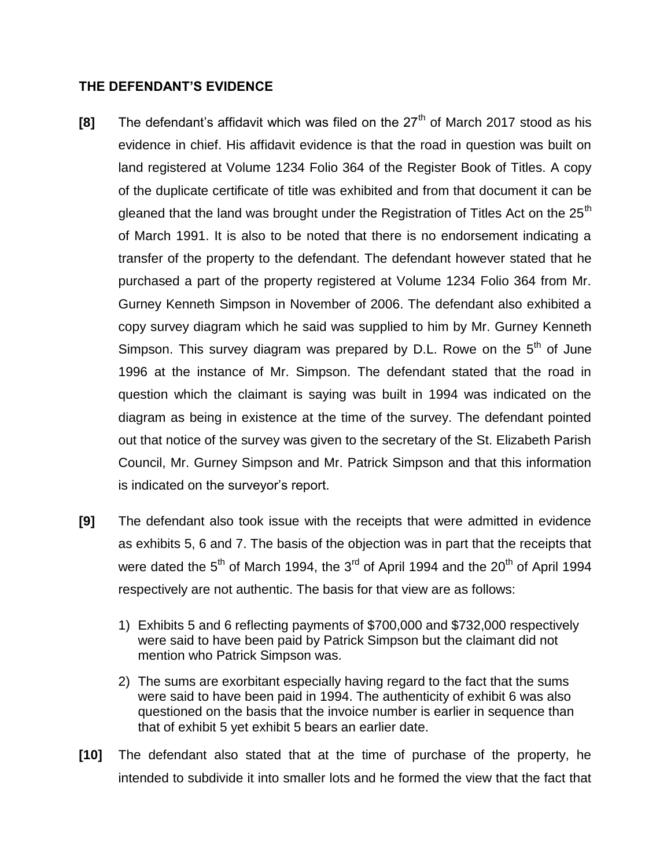#### **THE DEFENDANT'S EVIDENCE**

- **[8]** The defendant's affidavit which was filed on the 27<sup>th</sup> of March 2017 stood as his evidence in chief. His affidavit evidence is that the road in question was built on land registered at Volume 1234 Folio 364 of the Register Book of Titles. A copy of the duplicate certificate of title was exhibited and from that document it can be gleaned that the land was brought under the Registration of Titles Act on the  $25<sup>th</sup>$ of March 1991. It is also to be noted that there is no endorsement indicating a transfer of the property to the defendant. The defendant however stated that he purchased a part of the property registered at Volume 1234 Folio 364 from Mr. Gurney Kenneth Simpson in November of 2006. The defendant also exhibited a copy survey diagram which he said was supplied to him by Mr. Gurney Kenneth Simpson. This survey diagram was prepared by D.L. Rowe on the  $5<sup>th</sup>$  of June 1996 at the instance of Mr. Simpson. The defendant stated that the road in question which the claimant is saying was built in 1994 was indicated on the diagram as being in existence at the time of the survey. The defendant pointed out that notice of the survey was given to the secretary of the St. Elizabeth Parish Council, Mr. Gurney Simpson and Mr. Patrick Simpson and that this information is indicated on the surveyor's report.
- **[9]** The defendant also took issue with the receipts that were admitted in evidence as exhibits 5, 6 and 7. The basis of the objection was in part that the receipts that were dated the  $5<sup>th</sup>$  of March 1994, the  $3<sup>rd</sup>$  of April 1994 and the  $20<sup>th</sup>$  of April 1994 respectively are not authentic. The basis for that view are as follows:
	- 1) Exhibits 5 and 6 reflecting payments of \$700,000 and \$732,000 respectively were said to have been paid by Patrick Simpson but the claimant did not mention who Patrick Simpson was.
	- 2) The sums are exorbitant especially having regard to the fact that the sums were said to have been paid in 1994. The authenticity of exhibit 6 was also questioned on the basis that the invoice number is earlier in sequence than that of exhibit 5 yet exhibit 5 bears an earlier date.
- **[10]** The defendant also stated that at the time of purchase of the property, he intended to subdivide it into smaller lots and he formed the view that the fact that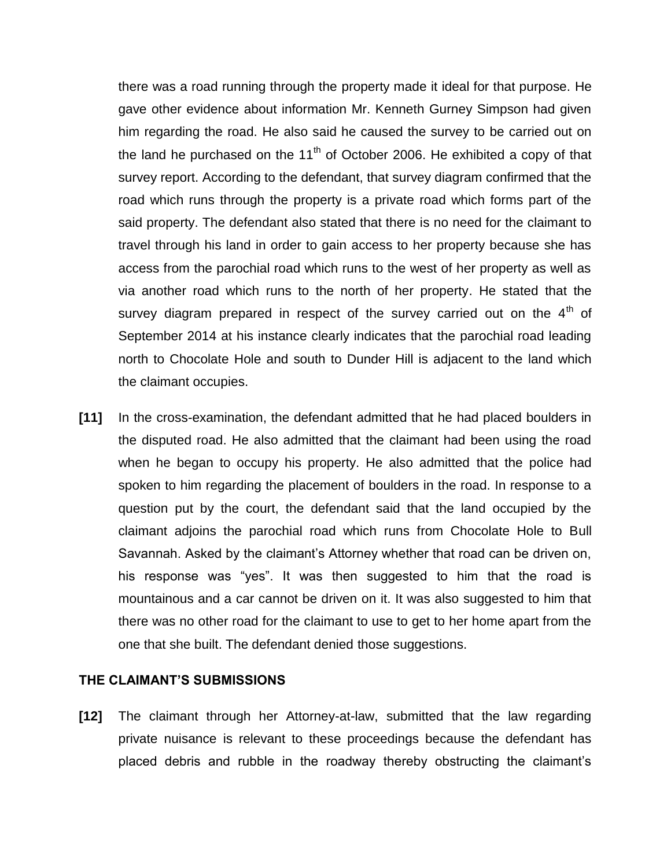there was a road running through the property made it ideal for that purpose. He gave other evidence about information Mr. Kenneth Gurney Simpson had given him regarding the road. He also said he caused the survey to be carried out on the land he purchased on the  $11<sup>th</sup>$  of October 2006. He exhibited a copy of that survey report. According to the defendant, that survey diagram confirmed that the road which runs through the property is a private road which forms part of the said property. The defendant also stated that there is no need for the claimant to travel through his land in order to gain access to her property because she has access from the parochial road which runs to the west of her property as well as via another road which runs to the north of her property. He stated that the survey diagram prepared in respect of the survey carried out on the  $4<sup>th</sup>$  of September 2014 at his instance clearly indicates that the parochial road leading north to Chocolate Hole and south to Dunder Hill is adjacent to the land which the claimant occupies.

**[11]** In the cross-examination, the defendant admitted that he had placed boulders in the disputed road. He also admitted that the claimant had been using the road when he began to occupy his property. He also admitted that the police had spoken to him regarding the placement of boulders in the road. In response to a question put by the court, the defendant said that the land occupied by the claimant adjoins the parochial road which runs from Chocolate Hole to Bull Savannah. Asked by the claimant's Attorney whether that road can be driven on, his response was "yes". It was then suggested to him that the road is mountainous and a car cannot be driven on it. It was also suggested to him that there was no other road for the claimant to use to get to her home apart from the one that she built. The defendant denied those suggestions.

#### **THE CLAIMANT'S SUBMISSIONS**

**[12]** The claimant through her Attorney-at-law, submitted that the law regarding private nuisance is relevant to these proceedings because the defendant has placed debris and rubble in the roadway thereby obstructing the claimant's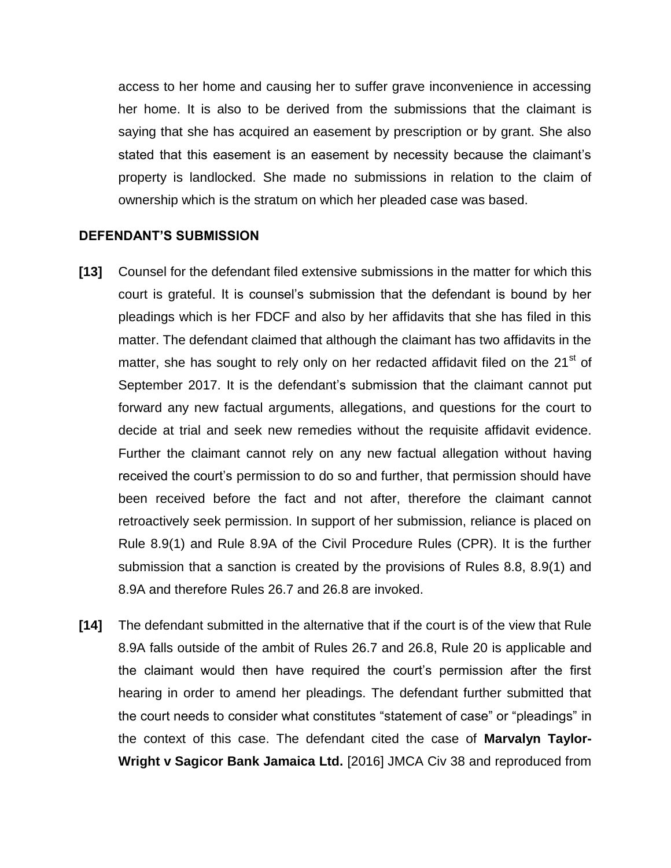access to her home and causing her to suffer grave inconvenience in accessing her home. It is also to be derived from the submissions that the claimant is saying that she has acquired an easement by prescription or by grant. She also stated that this easement is an easement by necessity because the claimant's property is landlocked. She made no submissions in relation to the claim of ownership which is the stratum on which her pleaded case was based.

#### **DEFENDANT'S SUBMISSION**

- **[13]** Counsel for the defendant filed extensive submissions in the matter for which this court is grateful. It is counsel's submission that the defendant is bound by her pleadings which is her FDCF and also by her affidavits that she has filed in this matter. The defendant claimed that although the claimant has two affidavits in the matter, she has sought to rely only on her redacted affidavit filed on the 21<sup>st</sup> of September 2017. It is the defendant's submission that the claimant cannot put forward any new factual arguments, allegations, and questions for the court to decide at trial and seek new remedies without the requisite affidavit evidence. Further the claimant cannot rely on any new factual allegation without having received the court's permission to do so and further, that permission should have been received before the fact and not after, therefore the claimant cannot retroactively seek permission. In support of her submission, reliance is placed on Rule 8.9(1) and Rule 8.9A of the Civil Procedure Rules (CPR). It is the further submission that a sanction is created by the provisions of Rules 8.8, 8.9(1) and 8.9A and therefore Rules 26.7 and 26.8 are invoked.
- **[14]** The defendant submitted in the alternative that if the court is of the view that Rule 8.9A falls outside of the ambit of Rules 26.7 and 26.8, Rule 20 is applicable and the claimant would then have required the court's permission after the first hearing in order to amend her pleadings. The defendant further submitted that the court needs to consider what constitutes "statement of case" or "pleadings" in the context of this case. The defendant cited the case of **Marvalyn Taylor-Wright v Sagicor Bank Jamaica Ltd.** [2016] JMCA Civ 38 and reproduced from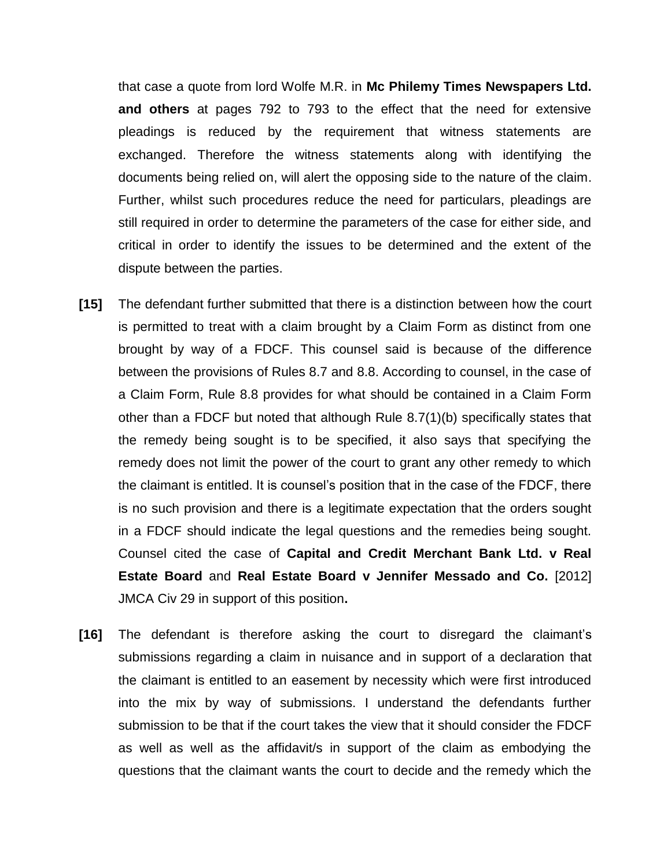that case a quote from lord Wolfe M.R. in **Mc Philemy Times Newspapers Ltd. and others** at pages 792 to 793 to the effect that the need for extensive pleadings is reduced by the requirement that witness statements are exchanged. Therefore the witness statements along with identifying the documents being relied on, will alert the opposing side to the nature of the claim. Further, whilst such procedures reduce the need for particulars, pleadings are still required in order to determine the parameters of the case for either side, and critical in order to identify the issues to be determined and the extent of the dispute between the parties.

- **[15]** The defendant further submitted that there is a distinction between how the court is permitted to treat with a claim brought by a Claim Form as distinct from one brought by way of a FDCF. This counsel said is because of the difference between the provisions of Rules 8.7 and 8.8. According to counsel, in the case of a Claim Form, Rule 8.8 provides for what should be contained in a Claim Form other than a FDCF but noted that although Rule 8.7(1)(b) specifically states that the remedy being sought is to be specified, it also says that specifying the remedy does not limit the power of the court to grant any other remedy to which the claimant is entitled. It is counsel's position that in the case of the FDCF, there is no such provision and there is a legitimate expectation that the orders sought in a FDCF should indicate the legal questions and the remedies being sought. Counsel cited the case of **Capital and Credit Merchant Bank Ltd. v Real Estate Board** and **Real Estate Board v Jennifer Messado and Co.** [2012] JMCA Civ 29 in support of this position**.**
- **[16]** The defendant is therefore asking the court to disregard the claimant's submissions regarding a claim in nuisance and in support of a declaration that the claimant is entitled to an easement by necessity which were first introduced into the mix by way of submissions. I understand the defendants further submission to be that if the court takes the view that it should consider the FDCF as well as well as the affidavit/s in support of the claim as embodying the questions that the claimant wants the court to decide and the remedy which the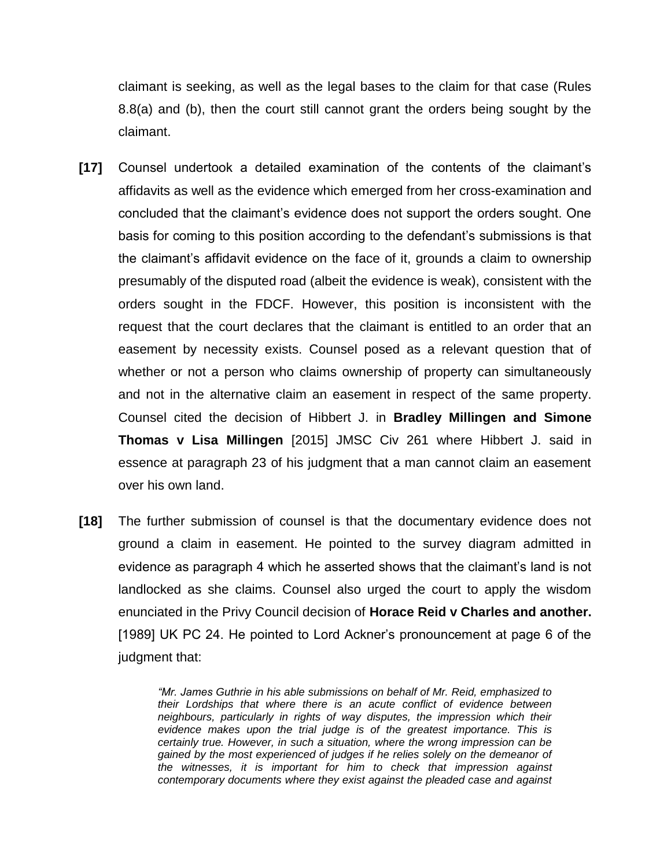claimant is seeking, as well as the legal bases to the claim for that case (Rules 8.8(a) and (b), then the court still cannot grant the orders being sought by the claimant.

- **[17]** Counsel undertook a detailed examination of the contents of the claimant's affidavits as well as the evidence which emerged from her cross-examination and concluded that the claimant's evidence does not support the orders sought. One basis for coming to this position according to the defendant's submissions is that the claimant's affidavit evidence on the face of it, grounds a claim to ownership presumably of the disputed road (albeit the evidence is weak), consistent with the orders sought in the FDCF. However, this position is inconsistent with the request that the court declares that the claimant is entitled to an order that an easement by necessity exists. Counsel posed as a relevant question that of whether or not a person who claims ownership of property can simultaneously and not in the alternative claim an easement in respect of the same property. Counsel cited the decision of Hibbert J. in **Bradley Millingen and Simone Thomas v Lisa Millingen** [2015] JMSC Civ 261 where Hibbert J. said in essence at paragraph 23 of his judgment that a man cannot claim an easement over his own land.
- **[18]** The further submission of counsel is that the documentary evidence does not ground a claim in easement. He pointed to the survey diagram admitted in evidence as paragraph 4 which he asserted shows that the claimant's land is not landlocked as she claims. Counsel also urged the court to apply the wisdom enunciated in the Privy Council decision of **Horace Reid v Charles and another.**  [1989] UK PC 24. He pointed to Lord Ackner's pronouncement at page 6 of the judgment that:

*"Mr. James Guthrie in his able submissions on behalf of Mr. Reid, emphasized to their Lordships that where there is an acute conflict of evidence between neighbours, particularly in rights of way disputes, the impression which their*  evidence makes upon the trial judge is of the greatest importance. This is *certainly true. However, in such a situation, where the wrong impression can be gained by the most experienced of judges if he relies solely on the demeanor of the witnesses, it is important for him to check that impression against contemporary documents where they exist against the pleaded case and against*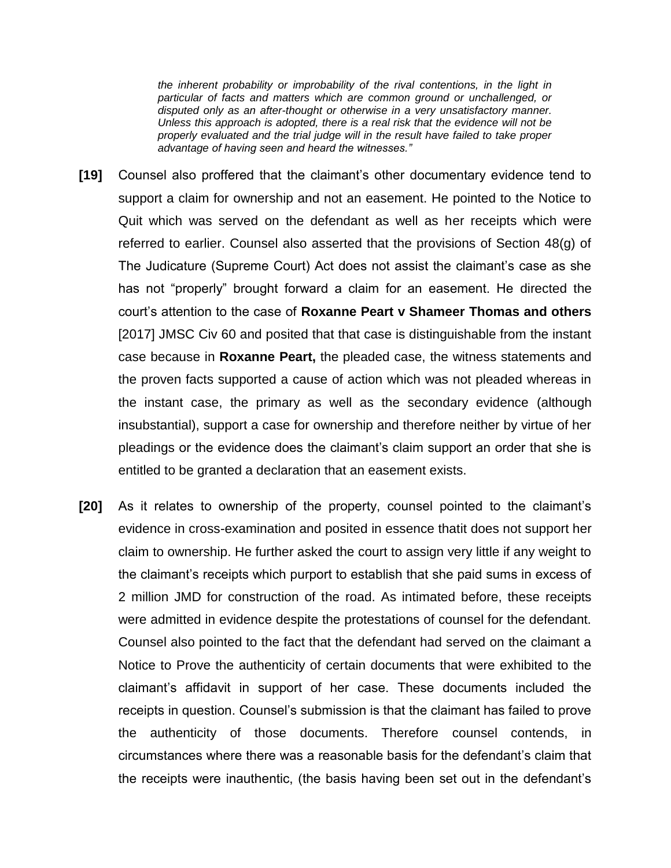*the inherent probability or improbability of the rival contentions, in the light in particular of facts and matters which are common ground or unchallenged, or disputed only as an after-thought or otherwise in a very unsatisfactory manner. Unless this approach is adopted, there is a real risk that the evidence will not be properly evaluated and the trial judge will in the result have failed to take proper advantage of having seen and heard the witnesses."*

- **[19]** Counsel also proffered that the claimant's other documentary evidence tend to support a claim for ownership and not an easement. He pointed to the Notice to Quit which was served on the defendant as well as her receipts which were referred to earlier. Counsel also asserted that the provisions of Section 48(g) of The Judicature (Supreme Court) Act does not assist the claimant's case as she has not "properly" brought forward a claim for an easement. He directed the court's attention to the case of **Roxanne Peart v Shameer Thomas and others**  [2017] JMSC Civ 60 and posited that that case is distinguishable from the instant case because in **Roxanne Peart,** the pleaded case, the witness statements and the proven facts supported a cause of action which was not pleaded whereas in the instant case, the primary as well as the secondary evidence (although insubstantial), support a case for ownership and therefore neither by virtue of her pleadings or the evidence does the claimant's claim support an order that she is entitled to be granted a declaration that an easement exists.
- **[20]** As it relates to ownership of the property, counsel pointed to the claimant's evidence in cross-examination and posited in essence thatit does not support her claim to ownership. He further asked the court to assign very little if any weight to the claimant's receipts which purport to establish that she paid sums in excess of 2 million JMD for construction of the road. As intimated before, these receipts were admitted in evidence despite the protestations of counsel for the defendant. Counsel also pointed to the fact that the defendant had served on the claimant a Notice to Prove the authenticity of certain documents that were exhibited to the claimant's affidavit in support of her case. These documents included the receipts in question. Counsel's submission is that the claimant has failed to prove the authenticity of those documents. Therefore counsel contends, in circumstances where there was a reasonable basis for the defendant's claim that the receipts were inauthentic, (the basis having been set out in the defendant's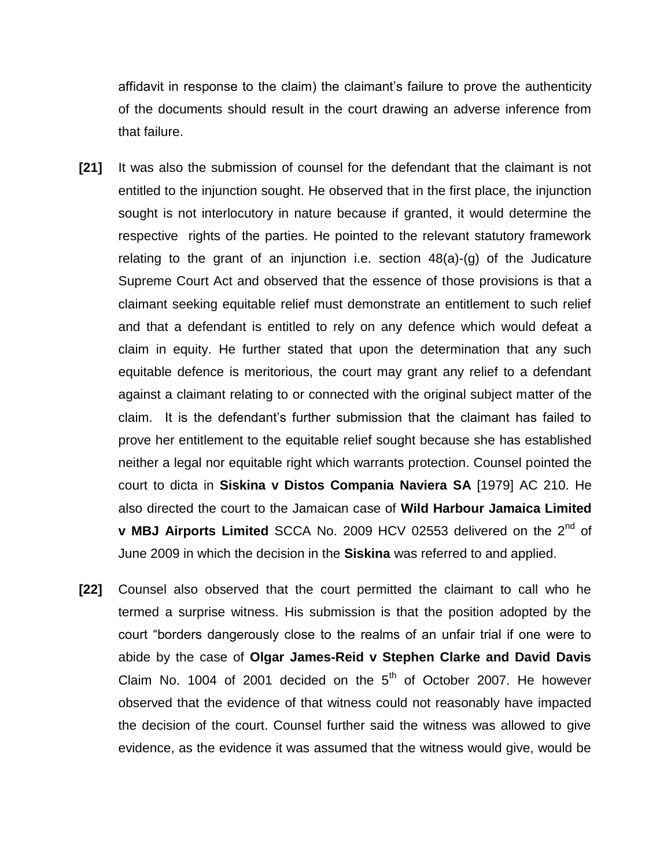affidavit in response to the claim) the claimant's failure to prove the authenticity of the documents should result in the court drawing an adverse inference from that failure.

- **[21]** It was also the submission of counsel for the defendant that the claimant is not entitled to the injunction sought. He observed that in the first place, the injunction sought is not interlocutory in nature because if granted, it would determine the respective rights of the parties. He pointed to the relevant statutory framework relating to the grant of an injunction i.e. section 48(a)-(g) of the Judicature Supreme Court Act and observed that the essence of those provisions is that a claimant seeking equitable relief must demonstrate an entitlement to such relief and that a defendant is entitled to rely on any defence which would defeat a claim in equity. He further stated that upon the determination that any such equitable defence is meritorious, the court may grant any relief to a defendant against a claimant relating to or connected with the original subject matter of the claim. It is the defendant's further submission that the claimant has failed to prove her entitlement to the equitable relief sought because she has established neither a legal nor equitable right which warrants protection. Counsel pointed the court to dicta in **Siskina v Distos Compania Naviera SA** [1979] AC 210. He also directed the court to the Jamaican case of **Wild Harbour Jamaica Limited v MBJ Airports Limited** SCCA No. 2009 HCV 02553 delivered on the 2nd of June 2009 in which the decision in the **Siskina** was referred to and applied.
- **[22]** Counsel also observed that the court permitted the claimant to call who he termed a surprise witness. His submission is that the position adopted by the court "borders dangerously close to the realms of an unfair trial if one were to abide by the case of **Olgar James-Reid v Stephen Clarke and David Davis**  Claim No. 1004 of 2001 decided on the  $5<sup>th</sup>$  of October 2007. He however observed that the evidence of that witness could not reasonably have impacted the decision of the court. Counsel further said the witness was allowed to give evidence, as the evidence it was assumed that the witness would give, would be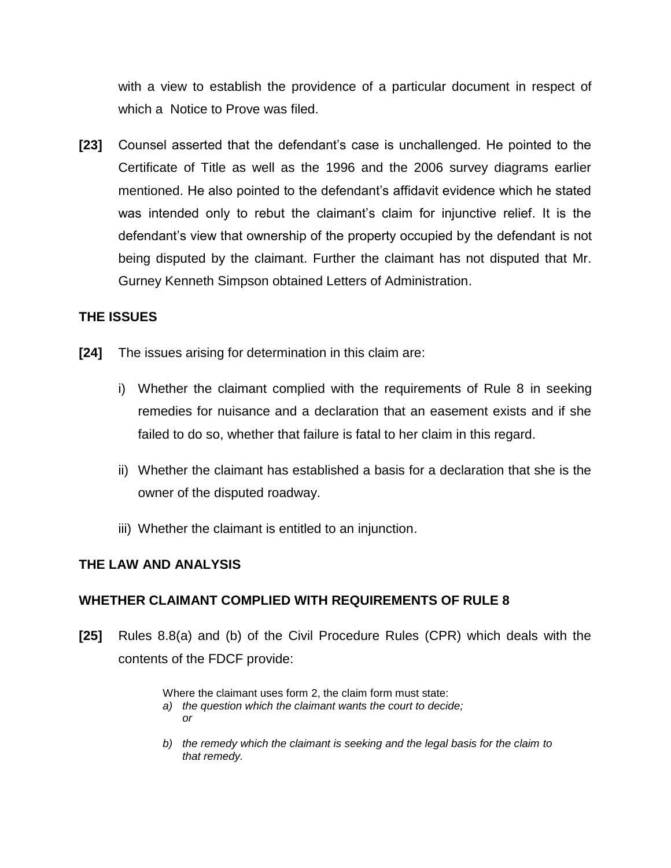with a view to establish the providence of a particular document in respect of which a Notice to Prove was filed.

**[23]** Counsel asserted that the defendant's case is unchallenged. He pointed to the Certificate of Title as well as the 1996 and the 2006 survey diagrams earlier mentioned. He also pointed to the defendant's affidavit evidence which he stated was intended only to rebut the claimant's claim for injunctive relief. It is the defendant's view that ownership of the property occupied by the defendant is not being disputed by the claimant. Further the claimant has not disputed that Mr. Gurney Kenneth Simpson obtained Letters of Administration.

## **THE ISSUES**

- **[24]** The issues arising for determination in this claim are:
	- i) Whether the claimant complied with the requirements of Rule 8 in seeking remedies for nuisance and a declaration that an easement exists and if she failed to do so, whether that failure is fatal to her claim in this regard.
	- ii) Whether the claimant has established a basis for a declaration that she is the owner of the disputed roadway.
	- iii) Whether the claimant is entitled to an injunction.

### **THE LAW AND ANALYSIS**

### **WHETHER CLAIMANT COMPLIED WITH REQUIREMENTS OF RULE 8**

**[25]** Rules 8.8(a) and (b) of the Civil Procedure Rules (CPR) which deals with the contents of the FDCF provide:

Where the claimant uses form 2, the claim form must state:

- *a) the question which the claimant wants the court to decide; or*
- *b) the remedy which the claimant is seeking and the legal basis for the claim to that remedy.*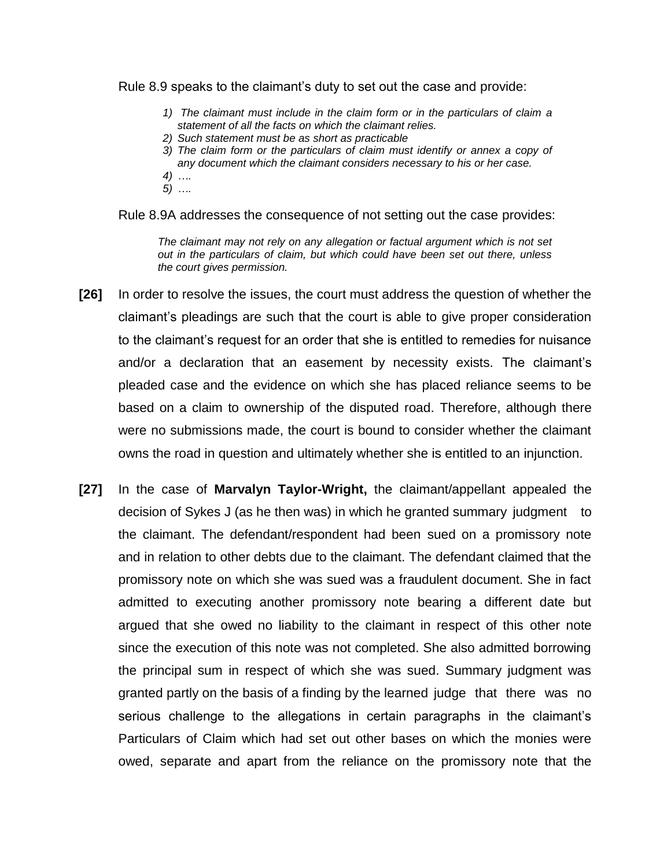Rule 8.9 speaks to the claimant's duty to set out the case and provide:

- *1) The claimant must include in the claim form or in the particulars of claim a statement of all the facts on which the claimant relies.*
- *2) Such statement must be as short as practicable*
- *3) The claim form or the particulars of claim must identify or annex a copy of any document which the claimant considers necessary to his or her case.*
- *4) ….*
- *5) ….*

Rule 8.9A addresses the consequence of not setting out the case provides:

*The claimant may not rely on any allegation or factual argument which is not set out in the particulars of claim, but which could have been set out there, unless the court gives permission.*

- **[26]** In order to resolve the issues, the court must address the question of whether the claimant's pleadings are such that the court is able to give proper consideration to the claimant's request for an order that she is entitled to remedies for nuisance and/or a declaration that an easement by necessity exists. The claimant's pleaded case and the evidence on which she has placed reliance seems to be based on a claim to ownership of the disputed road. Therefore, although there were no submissions made, the court is bound to consider whether the claimant owns the road in question and ultimately whether she is entitled to an injunction.
- **[27]** In the case of **Marvalyn Taylor-Wright,** the claimant/appellant appealed the decision of Sykes J (as he then was) in which he granted summary judgment to the claimant. The defendant/respondent had been sued on a promissory note and in relation to other debts due to the claimant. The defendant claimed that the promissory note on which she was sued was a fraudulent document. She in fact admitted to executing another promissory note bearing a different date but argued that she owed no liability to the claimant in respect of this other note since the execution of this note was not completed. She also admitted borrowing the principal sum in respect of which she was sued. Summary judgment was granted partly on the basis of a finding by the learned judge that there was no serious challenge to the allegations in certain paragraphs in the claimant's Particulars of Claim which had set out other bases on which the monies were owed, separate and apart from the reliance on the promissory note that the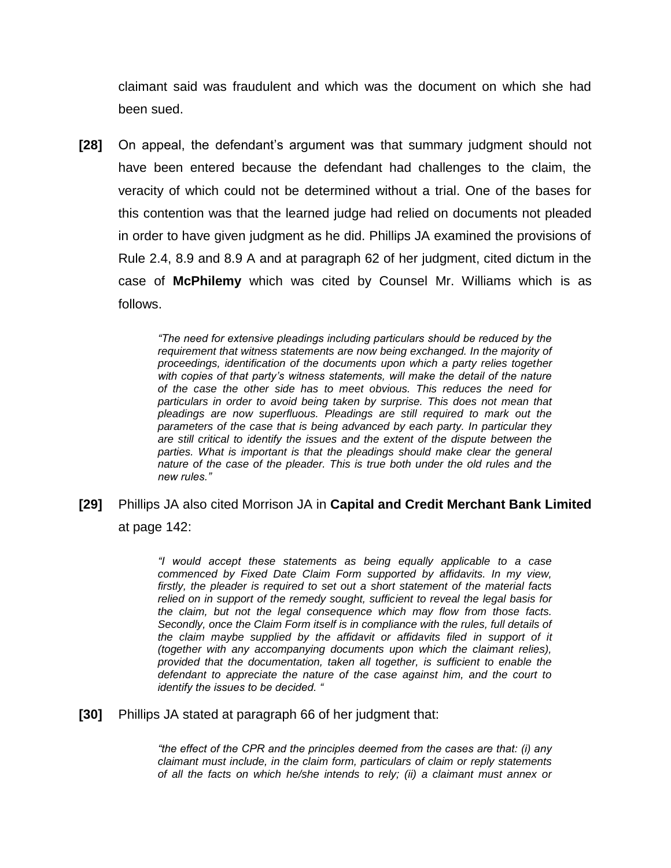claimant said was fraudulent and which was the document on which she had been sued.

**[28]** On appeal, the defendant's argument was that summary judgment should not have been entered because the defendant had challenges to the claim, the veracity of which could not be determined without a trial. One of the bases for this contention was that the learned judge had relied on documents not pleaded in order to have given judgment as he did. Phillips JA examined the provisions of Rule 2.4, 8.9 and 8.9 A and at paragraph 62 of her judgment, cited dictum in the case of **McPhilemy** which was cited by Counsel Mr. Williams which is as follows.

> *"The need for extensive pleadings including particulars should be reduced by the requirement that witness statements are now being exchanged. In the majority of proceedings, identification of the documents upon which a party relies together with copies of that party's witness statements, will make the detail of the nature of the case the other side has to meet obvious. This reduces the need for particulars in order to avoid being taken by surprise. This does not mean that pleadings are now superfluous. Pleadings are still required to mark out the parameters of the case that is being advanced by each party. In particular they are still critical to identify the issues and the extent of the dispute between the*  parties. What is important is that the pleadings should make clear the general *nature of the case of the pleader. This is true both under the old rules and the new rules."*

**[29]** Phillips JA also cited Morrison JA in **Capital and Credit Merchant Bank Limited**  at page 142:

> *"I would accept these statements as being equally applicable to a case commenced by Fixed Date Claim Form supported by affidavits. In my view, firstly, the pleader is required to set out a short statement of the material facts relied on in support of the remedy sought, sufficient to reveal the legal basis for the claim, but not the legal consequence which may flow from those facts. Secondly, once the Claim Form itself is in compliance with the rules, full details of the claim maybe supplied by the affidavit or affidavits filed in support of it (together with any accompanying documents upon which the claimant relies), provided that the documentation, taken all together, is sufficient to enable the defendant to appreciate the nature of the case against him, and the court to identify the issues to be decided. "*

**[30]** Phillips JA stated at paragraph 66 of her judgment that:

*"the effect of the CPR and the principles deemed from the cases are that: (i) any claimant must include, in the claim form, particulars of claim or reply statements of all the facts on which he/she intends to rely; (ii) a claimant must annex or*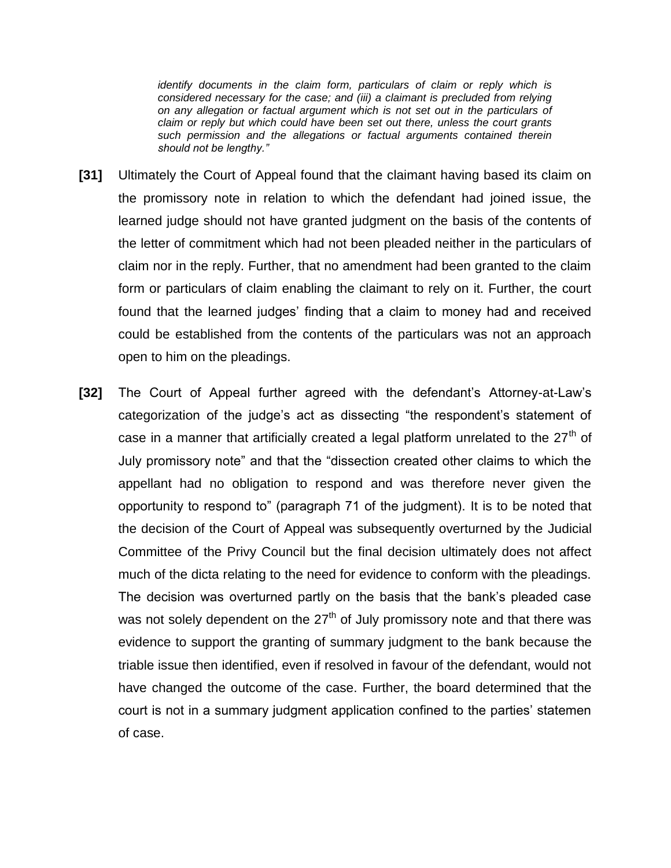*identify documents in the claim form, particulars of claim or reply which is considered necessary for the case; and (iii) a claimant is precluded from relying on any allegation or factual argument which is not set out in the particulars of claim or reply but which could have been set out there, unless the court grants such permission and the allegations or factual arguments contained therein should not be lengthy."*

- **[31]** Ultimately the Court of Appeal found that the claimant having based its claim on the promissory note in relation to which the defendant had joined issue, the learned judge should not have granted judgment on the basis of the contents of the letter of commitment which had not been pleaded neither in the particulars of claim nor in the reply. Further, that no amendment had been granted to the claim form or particulars of claim enabling the claimant to rely on it. Further, the court found that the learned judges' finding that a claim to money had and received could be established from the contents of the particulars was not an approach open to him on the pleadings.
- **[32]** The Court of Appeal further agreed with the defendant's Attorney-at-Law's categorization of the judge's act as dissecting "the respondent's statement of case in a manner that artificially created a legal platform unrelated to the  $27<sup>th</sup>$  of July promissory note" and that the "dissection created other claims to which the appellant had no obligation to respond and was therefore never given the opportunity to respond to" (paragraph 71 of the judgment). It is to be noted that the decision of the Court of Appeal was subsequently overturned by the Judicial Committee of the Privy Council but the final decision ultimately does not affect much of the dicta relating to the need for evidence to conform with the pleadings. The decision was overturned partly on the basis that the bank's pleaded case was not solely dependent on the  $27<sup>th</sup>$  of July promissory note and that there was evidence to support the granting of summary judgment to the bank because the triable issue then identified, even if resolved in favour of the defendant, would not have changed the outcome of the case. Further, the board determined that the court is not in a summary judgment application confined to the parties' statemen of case.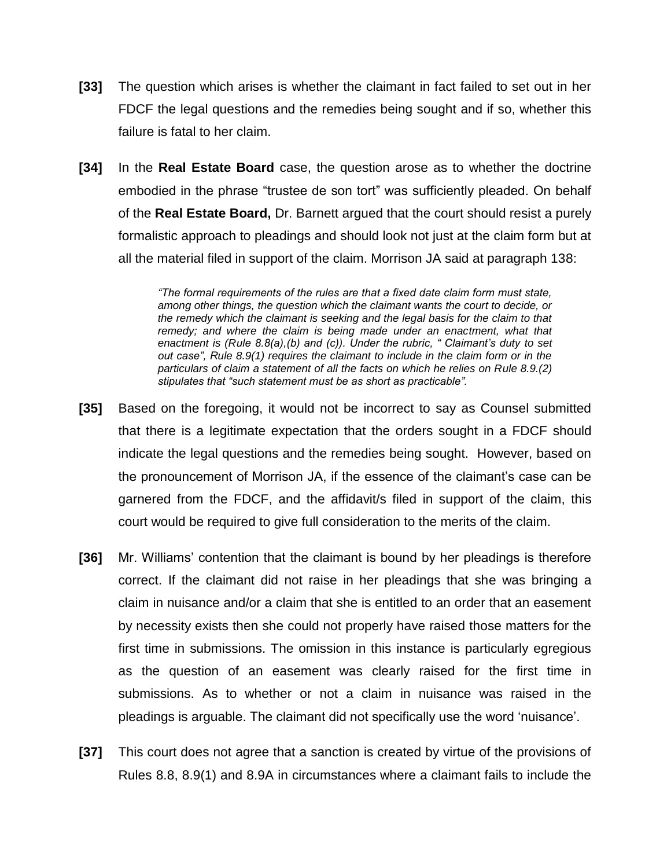- **[33]** The question which arises is whether the claimant in fact failed to set out in her FDCF the legal questions and the remedies being sought and if so, whether this failure is fatal to her claim.
- **[34]** In the **Real Estate Board** case, the question arose as to whether the doctrine embodied in the phrase "trustee de son tort" was sufficiently pleaded. On behalf of the **Real Estate Board,** Dr. Barnett argued that the court should resist a purely formalistic approach to pleadings and should look not just at the claim form but at all the material filed in support of the claim. Morrison JA said at paragraph 138:

*"The formal requirements of the rules are that a fixed date claim form must state, among other things, the question which the claimant wants the court to decide, or the remedy which the claimant is seeking and the legal basis for the claim to that remedy; and where the claim is being made under an enactment, what that enactment is (Rule 8.8(a),(b) and (c)). Under the rubric, " Claimant's duty to set out case", Rule 8.9(1) requires the claimant to include in the claim form or in the particulars of claim a statement of all the facts on which he relies on Rule 8.9.(2) stipulates that "such statement must be as short as practicable".* 

- **[35]** Based on the foregoing, it would not be incorrect to say as Counsel submitted that there is a legitimate expectation that the orders sought in a FDCF should indicate the legal questions and the remedies being sought. However, based on the pronouncement of Morrison JA, if the essence of the claimant's case can be garnered from the FDCF, and the affidavit/s filed in support of the claim, this court would be required to give full consideration to the merits of the claim.
- **[36]** Mr. Williams' contention that the claimant is bound by her pleadings is therefore correct. If the claimant did not raise in her pleadings that she was bringing a claim in nuisance and/or a claim that she is entitled to an order that an easement by necessity exists then she could not properly have raised those matters for the first time in submissions. The omission in this instance is particularly egregious as the question of an easement was clearly raised for the first time in submissions. As to whether or not a claim in nuisance was raised in the pleadings is arguable. The claimant did not specifically use the word 'nuisance'.
- **[37]** This court does not agree that a sanction is created by virtue of the provisions of Rules 8.8, 8.9(1) and 8.9A in circumstances where a claimant fails to include the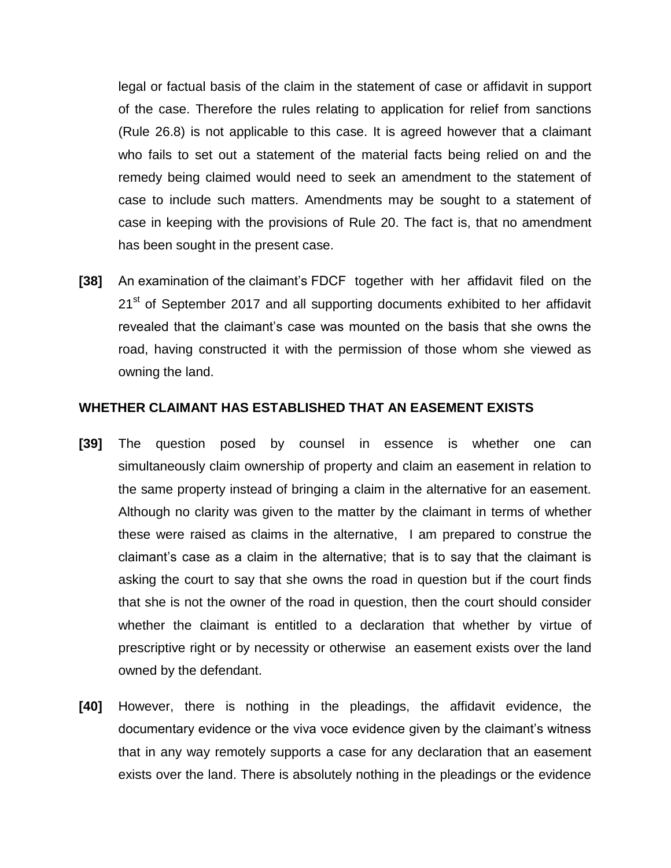legal or factual basis of the claim in the statement of case or affidavit in support of the case. Therefore the rules relating to application for relief from sanctions (Rule 26.8) is not applicable to this case. It is agreed however that a claimant who fails to set out a statement of the material facts being relied on and the remedy being claimed would need to seek an amendment to the statement of case to include such matters. Amendments may be sought to a statement of case in keeping with the provisions of Rule 20. The fact is, that no amendment has been sought in the present case.

**[38]** An examination of the claimant's FDCF together with her affidavit filed on the 21<sup>st</sup> of September 2017 and all supporting documents exhibited to her affidavit revealed that the claimant's case was mounted on the basis that she owns the road, having constructed it with the permission of those whom she viewed as owning the land.

#### **WHETHER CLAIMANT HAS ESTABLISHED THAT AN EASEMENT EXISTS**

- **[39]** The question posed by counsel in essence is whether one can simultaneously claim ownership of property and claim an easement in relation to the same property instead of bringing a claim in the alternative for an easement. Although no clarity was given to the matter by the claimant in terms of whether these were raised as claims in the alternative, I am prepared to construe the claimant's case as a claim in the alternative; that is to say that the claimant is asking the court to say that she owns the road in question but if the court finds that she is not the owner of the road in question, then the court should consider whether the claimant is entitled to a declaration that whether by virtue of prescriptive right or by necessity or otherwise an easement exists over the land owned by the defendant.
- **[40]** However, there is nothing in the pleadings, the affidavit evidence, the documentary evidence or the viva voce evidence given by the claimant's witness that in any way remotely supports a case for any declaration that an easement exists over the land. There is absolutely nothing in the pleadings or the evidence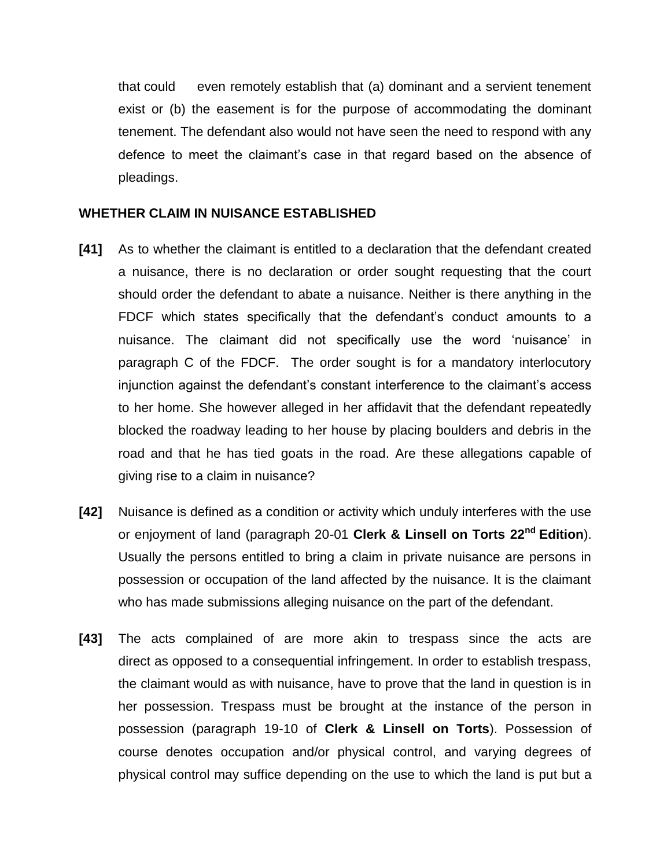that could even remotely establish that (a) dominant and a servient tenement exist or (b) the easement is for the purpose of accommodating the dominant tenement. The defendant also would not have seen the need to respond with any defence to meet the claimant's case in that regard based on the absence of pleadings.

#### **WHETHER CLAIM IN NUISANCE ESTABLISHED**

- **[41]** As to whether the claimant is entitled to a declaration that the defendant created a nuisance, there is no declaration or order sought requesting that the court should order the defendant to abate a nuisance. Neither is there anything in the FDCF which states specifically that the defendant's conduct amounts to a nuisance. The claimant did not specifically use the word 'nuisance' in paragraph C of the FDCF. The order sought is for a mandatory interlocutory injunction against the defendant's constant interference to the claimant's access to her home. She however alleged in her affidavit that the defendant repeatedly blocked the roadway leading to her house by placing boulders and debris in the road and that he has tied goats in the road. Are these allegations capable of giving rise to a claim in nuisance?
- **[42]** Nuisance is defined as a condition or activity which unduly interferes with the use or enjoyment of land (paragraph 20-01 **Clerk & Linsell on Torts 22nd Edition**). Usually the persons entitled to bring a claim in private nuisance are persons in possession or occupation of the land affected by the nuisance. It is the claimant who has made submissions alleging nuisance on the part of the defendant.
- **[43]** The acts complained of are more akin to trespass since the acts are direct as opposed to a consequential infringement. In order to establish trespass, the claimant would as with nuisance, have to prove that the land in question is in her possession. Trespass must be brought at the instance of the person in possession (paragraph 19-10 of **Clerk & Linsell on Torts**). Possession of course denotes occupation and/or physical control, and varying degrees of physical control may suffice depending on the use to which the land is put but a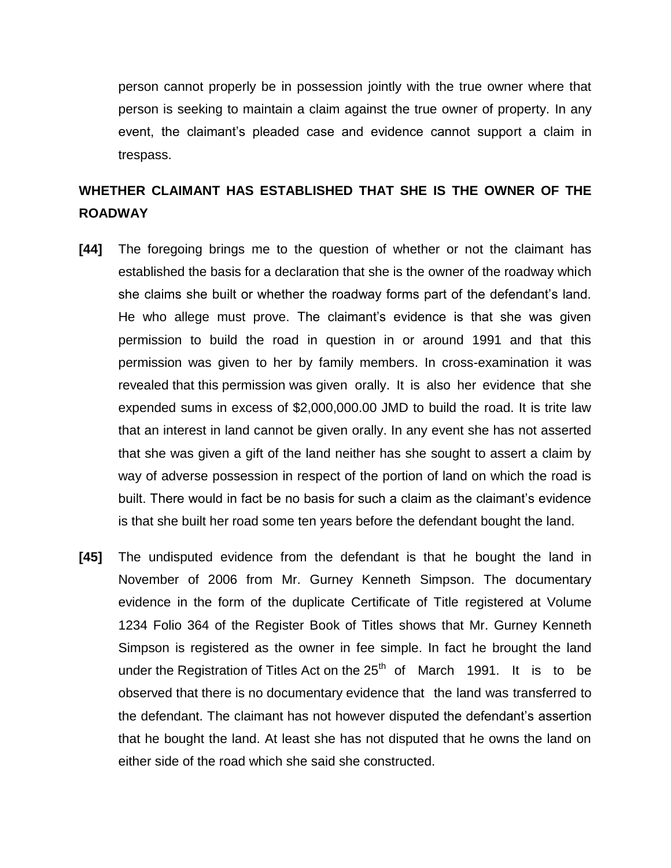person cannot properly be in possession jointly with the true owner where that person is seeking to maintain a claim against the true owner of property. In any event, the claimant's pleaded case and evidence cannot support a claim in trespass.

# **WHETHER CLAIMANT HAS ESTABLISHED THAT SHE IS THE OWNER OF THE ROADWAY**

- **[44]** The foregoing brings me to the question of whether or not the claimant has established the basis for a declaration that she is the owner of the roadway which she claims she built or whether the roadway forms part of the defendant's land. He who allege must prove. The claimant's evidence is that she was given permission to build the road in question in or around 1991 and that this permission was given to her by family members. In cross-examination it was revealed that this permission was given orally. It is also her evidence that she expended sums in excess of \$2,000,000.00 JMD to build the road. It is trite law that an interest in land cannot be given orally. In any event she has not asserted that she was given a gift of the land neither has she sought to assert a claim by way of adverse possession in respect of the portion of land on which the road is built. There would in fact be no basis for such a claim as the claimant's evidence is that she built her road some ten years before the defendant bought the land.
- **[45]** The undisputed evidence from the defendant is that he bought the land in November of 2006 from Mr. Gurney Kenneth Simpson. The documentary evidence in the form of the duplicate Certificate of Title registered at Volume 1234 Folio 364 of the Register Book of Titles shows that Mr. Gurney Kenneth Simpson is registered as the owner in fee simple. In fact he brought the land under the Registration of Titles Act on the  $25<sup>th</sup>$  of March 1991. It is to be observed that there is no documentary evidence that the land was transferred to the defendant. The claimant has not however disputed the defendant's assertion that he bought the land. At least she has not disputed that he owns the land on either side of the road which she said she constructed.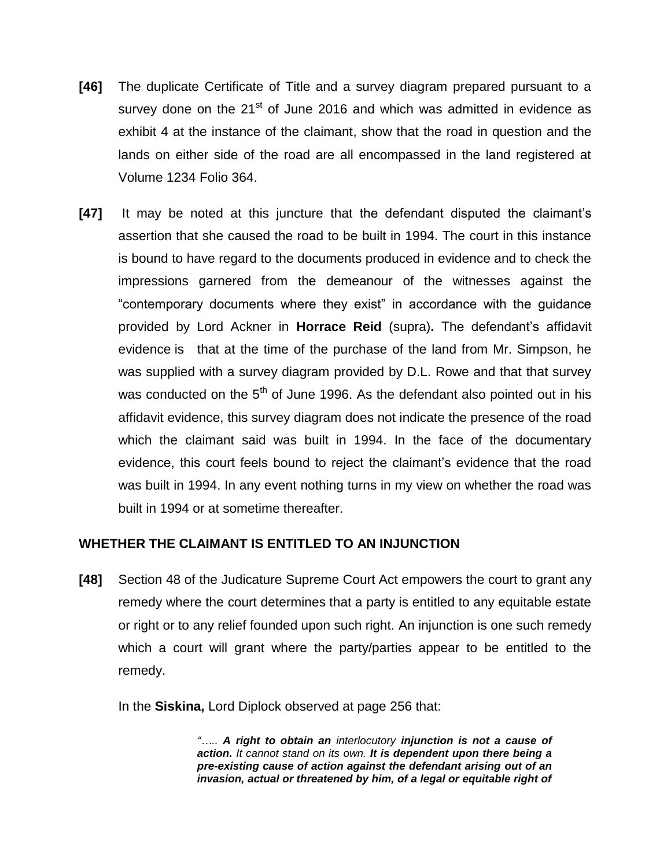- **[46]** The duplicate Certificate of Title and a survey diagram prepared pursuant to a survey done on the  $21<sup>st</sup>$  of June 2016 and which was admitted in evidence as exhibit 4 at the instance of the claimant, show that the road in question and the lands on either side of the road are all encompassed in the land registered at Volume 1234 Folio 364.
- **[47]** It may be noted at this juncture that the defendant disputed the claimant's assertion that she caused the road to be built in 1994. The court in this instance is bound to have regard to the documents produced in evidence and to check the impressions garnered from the demeanour of the witnesses against the "contemporary documents where they exist" in accordance with the guidance provided by Lord Ackner in **Horrace Reid** (supra)**.** The defendant's affidavit evidence is that at the time of the purchase of the land from Mr. Simpson, he was supplied with a survey diagram provided by D.L. Rowe and that that survey was conducted on the  $5<sup>th</sup>$  of June 1996. As the defendant also pointed out in his affidavit evidence, this survey diagram does not indicate the presence of the road which the claimant said was built in 1994. In the face of the documentary evidence, this court feels bound to reject the claimant's evidence that the road was built in 1994. In any event nothing turns in my view on whether the road was built in 1994 or at sometime thereafter.

### **WHETHER THE CLAIMANT IS ENTITLED TO AN INJUNCTION**

**[48]** Section 48 of the Judicature Supreme Court Act empowers the court to grant any remedy where the court determines that a party is entitled to any equitable estate or right or to any relief founded upon such right. An injunction is one such remedy which a court will grant where the party/parties appear to be entitled to the remedy.

In the **Siskina,** Lord Diplock observed at page 256 that:

*"….. A right to obtain an interlocutory injunction is not a cause of action. It cannot stand on its own. It is dependent upon there being a pre-existing cause of action against the defendant arising out of an invasion, actual or threatened by him, of a legal or equitable right of*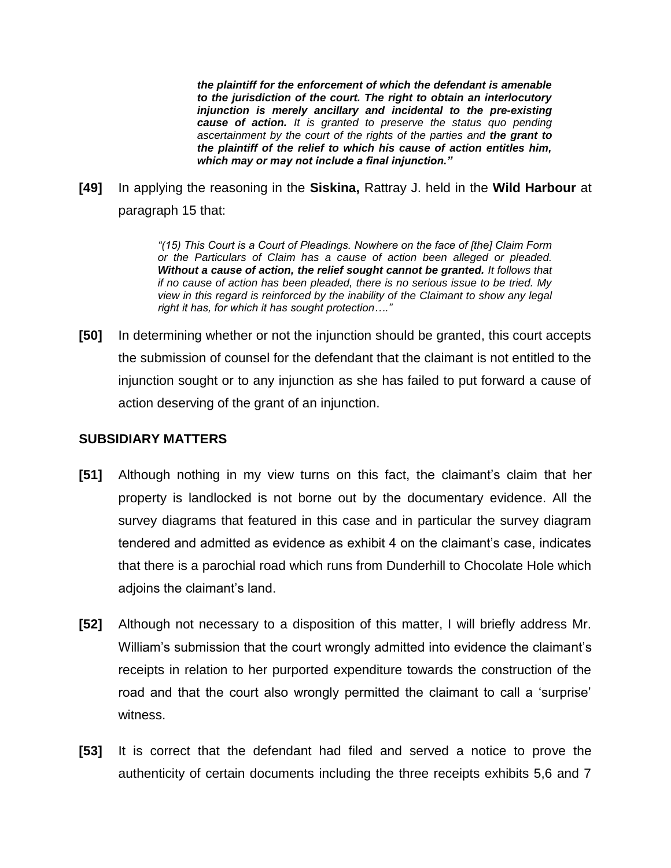*the plaintiff for the enforcement of which the defendant is amenable to the jurisdiction of the court. The right to obtain an interlocutory injunction is merely ancillary and incidental to the pre-existing cause of action. It is granted to preserve the status quo pending ascertainment by the court of the rights of the parties and the grant to the plaintiff of the relief to which his cause of action entitles him, which may or may not include a final injunction."*

**[49]** In applying the reasoning in the **Siskina,** Rattray J. held in the **Wild Harbour** at paragraph 15 that:

> *"(15) This Court is a Court of Pleadings. Nowhere on the face of [the] Claim Form or the Particulars of Claim has a cause of action been alleged or pleaded. Without a cause of action, the relief sought cannot be granted. It follows that if no cause of action has been pleaded, there is no serious issue to be tried. My view in this regard is reinforced by the inability of the Claimant to show any legal right it has, for which it has sought protection…."*

**[50]** In determining whether or not the injunction should be granted, this court accepts the submission of counsel for the defendant that the claimant is not entitled to the injunction sought or to any injunction as she has failed to put forward a cause of action deserving of the grant of an injunction.

### **SUBSIDIARY MATTERS**

- **[51]** Although nothing in my view turns on this fact, the claimant's claim that her property is landlocked is not borne out by the documentary evidence. All the survey diagrams that featured in this case and in particular the survey diagram tendered and admitted as evidence as exhibit 4 on the claimant's case, indicates that there is a parochial road which runs from Dunderhill to Chocolate Hole which adjoins the claimant's land.
- **[52]** Although not necessary to a disposition of this matter, I will briefly address Mr. William's submission that the court wrongly admitted into evidence the claimant's receipts in relation to her purported expenditure towards the construction of the road and that the court also wrongly permitted the claimant to call a 'surprise' witness.
- **[53]** It is correct that the defendant had filed and served a notice to prove the authenticity of certain documents including the three receipts exhibits 5,6 and 7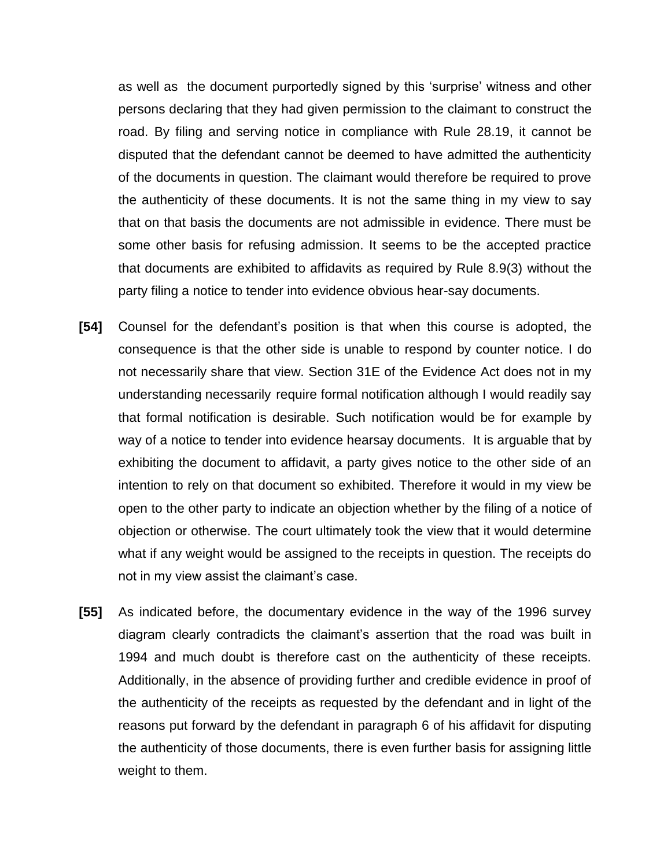as well as the document purportedly signed by this 'surprise' witness and other persons declaring that they had given permission to the claimant to construct the road. By filing and serving notice in compliance with Rule 28.19, it cannot be disputed that the defendant cannot be deemed to have admitted the authenticity of the documents in question. The claimant would therefore be required to prove the authenticity of these documents. It is not the same thing in my view to say that on that basis the documents are not admissible in evidence. There must be some other basis for refusing admission. It seems to be the accepted practice that documents are exhibited to affidavits as required by Rule 8.9(3) without the party filing a notice to tender into evidence obvious hear-say documents.

- **[54]** Counsel for the defendant's position is that when this course is adopted, the consequence is that the other side is unable to respond by counter notice. I do not necessarily share that view. Section 31E of the Evidence Act does not in my understanding necessarily require formal notification although I would readily say that formal notification is desirable. Such notification would be for example by way of a notice to tender into evidence hearsay documents. It is arguable that by exhibiting the document to affidavit, a party gives notice to the other side of an intention to rely on that document so exhibited. Therefore it would in my view be open to the other party to indicate an objection whether by the filing of a notice of objection or otherwise. The court ultimately took the view that it would determine what if any weight would be assigned to the receipts in question. The receipts do not in my view assist the claimant's case.
- **[55]** As indicated before, the documentary evidence in the way of the 1996 survey diagram clearly contradicts the claimant's assertion that the road was built in 1994 and much doubt is therefore cast on the authenticity of these receipts. Additionally, in the absence of providing further and credible evidence in proof of the authenticity of the receipts as requested by the defendant and in light of the reasons put forward by the defendant in paragraph 6 of his affidavit for disputing the authenticity of those documents, there is even further basis for assigning little weight to them.